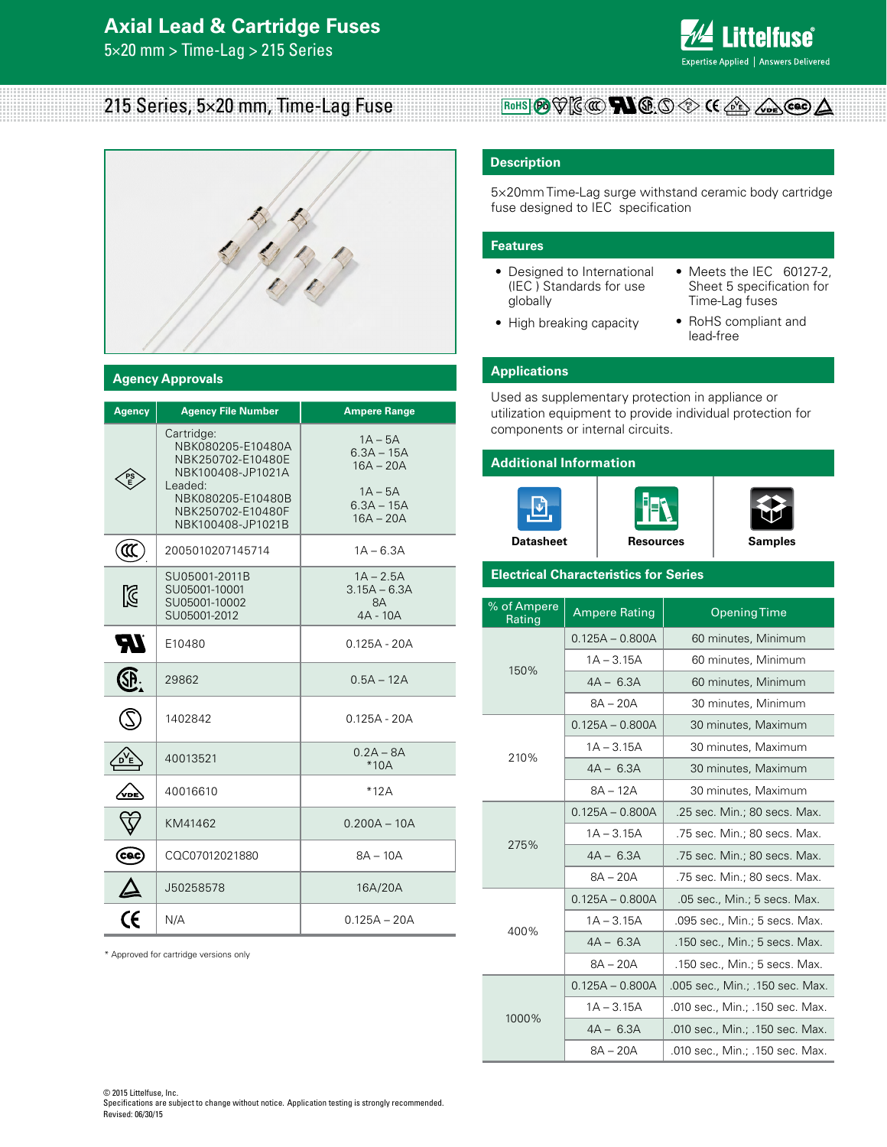# **Axial Lead & Cartridge Fuses**

5×20 mm > Time-Lag > 215 Series



# 215 Series, 5×20 mm, Time-Lag Fuse



### **Agency Approvals**

| <b>Agency</b> | <b>Agency File Number</b>                                                                                                                           | <b>Ampere Range</b>                                                                  |  |  |  |  |  |
|---------------|-----------------------------------------------------------------------------------------------------------------------------------------------------|--------------------------------------------------------------------------------------|--|--|--|--|--|
|               | Cartridge:<br>NBK080205-E10480A<br>NBK250702-E10480E<br>NBK100408-JP1021A<br>Leaded:<br>NBK080205-E10480B<br>NBK250702-E10480F<br>NBK100408-JP1021B | $1A - 5A$<br>$6.3A - 15A$<br>$16A - 20A$<br>$1A - 5A$<br>$6.3A - 15A$<br>$16A - 20A$ |  |  |  |  |  |
| ั‴            | 2005010207145714                                                                                                                                    | $1A - 6.3A$                                                                          |  |  |  |  |  |
| K             | SU05001-2011B<br>SU05001-10001<br>SU05001-10002<br>SU05001-2012                                                                                     | $1A - 2.5A$<br>$3.15A - 6.3A$<br>8A<br>$4A - 10A$                                    |  |  |  |  |  |
| ZТ            | E10480                                                                                                                                              | $0.125A - 20A$                                                                       |  |  |  |  |  |
|               | 29862                                                                                                                                               | $0.5A - 12A$                                                                         |  |  |  |  |  |
|               | 1402842                                                                                                                                             | $0.125A - 20A$                                                                       |  |  |  |  |  |
|               | 40013521                                                                                                                                            | $0.2A - 8A$<br>$*10A$                                                                |  |  |  |  |  |
|               | 40016610                                                                                                                                            | $*12A$                                                                               |  |  |  |  |  |
|               | KM41462                                                                                                                                             | $0.200A - 10A$                                                                       |  |  |  |  |  |
| ce            | CQC07012021880                                                                                                                                      | $8A - 10A$                                                                           |  |  |  |  |  |
|               | J50258578                                                                                                                                           | 16A/20A                                                                              |  |  |  |  |  |
| CE            | N/A                                                                                                                                                 | $0.125A - 20A$                                                                       |  |  |  |  |  |

\* Approved for cartridge versions only

### **Description**

5×20mm Time-Lag surge withstand ceramic body cartridge fuse designed to IEC specification

**PS E**

### **Features**

- Designed to International (IEC ) Standards for use globally
- High breaking capacity
- Meets the IEC 60127-2, Sheet 5 specification for Time-Lag fuses
- RoHS compliant and lead-free

# **Applications**

Used as supplementary protection in appliance or utilization equipment to provide individual protection for components or internal circuits.

## **Additional Information**







### **Electrical Characteristics for Series**

| % of Ampere<br>Rating | <b>Ampere Rating</b> | <b>Opening Time</b>             |  |  |  |  |
|-----------------------|----------------------|---------------------------------|--|--|--|--|
|                       | $0.125A - 0.800A$    | 60 minutes, Minimum             |  |  |  |  |
|                       | $1A - 3.15A$         | 60 minutes, Minimum             |  |  |  |  |
| 150%                  | $4A - 6.3A$          | 60 minutes, Minimum             |  |  |  |  |
|                       | $8A - 20A$           | 30 minutes, Minimum             |  |  |  |  |
|                       | $0.125A - 0.800A$    | 30 minutes, Maximum             |  |  |  |  |
| 210%                  | $1A - 3.15A$         | 30 minutes, Maximum             |  |  |  |  |
|                       | $4A - 6.3A$          | 30 minutes, Maximum             |  |  |  |  |
|                       | $8A - 12A$           | 30 minutes, Maximum             |  |  |  |  |
|                       | $0.125A - 0.800A$    | .25 sec. Min.; 80 secs. Max.    |  |  |  |  |
| 275%                  | $1A - 3.15A$         | .75 sec. Min.; 80 secs. Max.    |  |  |  |  |
|                       | $4A - 6.3A$          | .75 sec. Min.; 80 secs. Max.    |  |  |  |  |
|                       | $8A - 20A$           | .75 sec. Min.; 80 secs. Max.    |  |  |  |  |
|                       | $0.125A - 0.800A$    | .05 sec., Min.; 5 secs. Max.    |  |  |  |  |
| 400%                  | $1A - 3.15A$         | .095 sec., Min.; 5 secs. Max.   |  |  |  |  |
|                       | $4A - 6.3A$          | .150 sec., Min.; 5 secs. Max.   |  |  |  |  |
|                       | $8A - 20A$           | .150 sec., Min.; 5 secs. Max.   |  |  |  |  |
|                       | $0.125A - 0.800A$    | .005 sec., Min.; .150 sec. Max. |  |  |  |  |
|                       | $1A - 3.15A$         | .010 sec., Min.; .150 sec. Max. |  |  |  |  |
| 1000%                 | $4A - 6.3A$          | .010 sec., Min.; .150 sec. Max. |  |  |  |  |
|                       | $8A - 20A$           | .010 sec., Min.; .150 sec. Max. |  |  |  |  |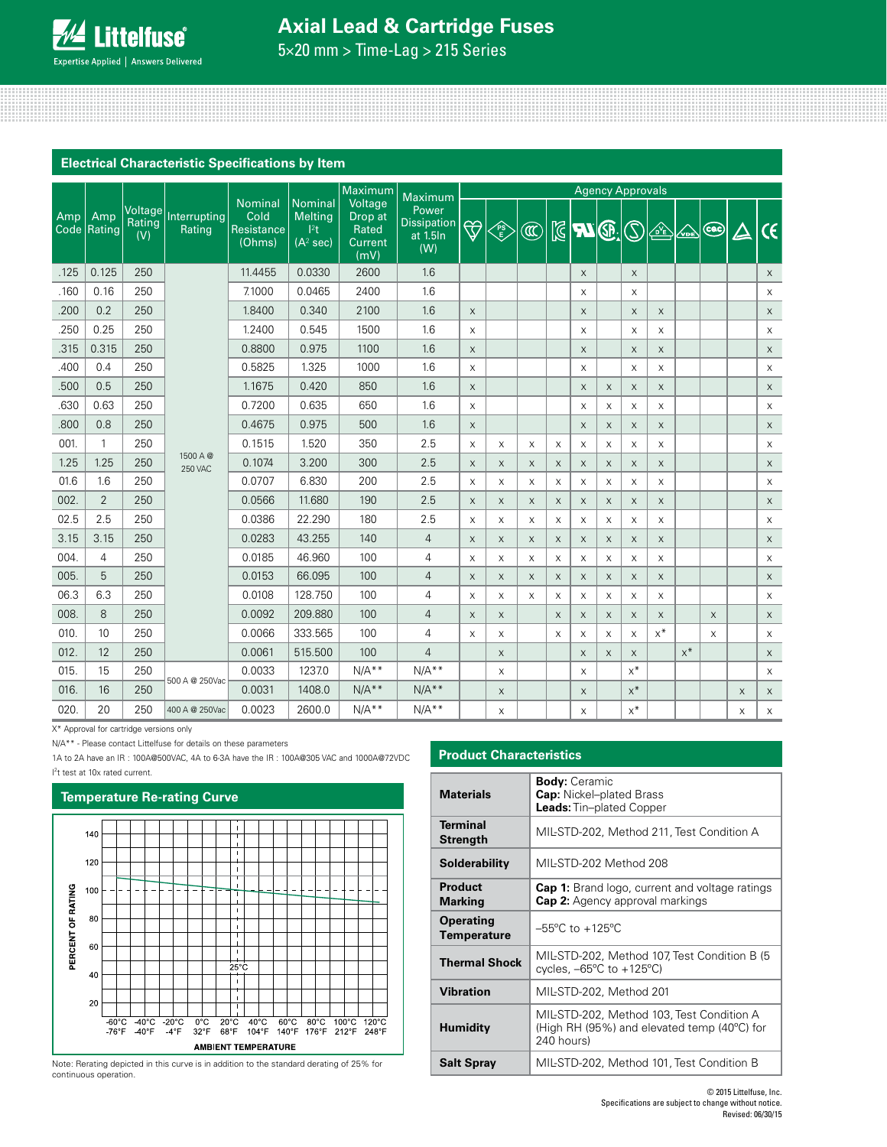# **Axial Lead & Cartridge Fuses**

5×20 mm > Time-Lag > 215 Series

|                    |                |                          |                            |                                         |                                                        | Maximum                                        | Maximum                                 | <b>Agency Approvals</b>   |                |                |             |                           |          |                           |       |          |               |          |             |
|--------------------|----------------|--------------------------|----------------------------|-----------------------------------------|--------------------------------------------------------|------------------------------------------------|-----------------------------------------|---------------------------|----------------|----------------|-------------|---------------------------|----------|---------------------------|-------|----------|---------------|----------|-------------|
| Amp<br>Amp<br>Code | Rating         | Voltage<br>Rating<br>(V) | Interrupting<br>Rating     | Nominal<br>Cold<br>Resistance<br>(Ohms) | Nominal<br>Melting<br>$ ^{2}t$<br>(A <sup>2</sup> sec) | Voltage<br>Drop at<br>Rated<br>Current<br>(mV) | Power<br>Dissipation<br>at 1.5ln<br>(W) |                           | <b>PS</b><br>E | $^{\circledR}$ |             | $\mathbb{E}$ $\mathbb{Z}$ |          | $\mathbb{C}$              | 企     | $\infty$ | $\circled{c}$ | $\Delta$ | $\epsilon$  |
| .125               | 0.125          | 250                      |                            | 11.4455                                 | 0.0330                                                 | 2600                                           | 1.6                                     |                           |                |                |             | $\times$                  |          | $\times$                  |       |          |               |          | $\times$    |
| .160               | 0.16           | 250                      |                            | 7.1000                                  | 0.0465                                                 | 2400                                           | 1.6                                     |                           |                |                |             | X                         |          | X                         |       |          |               |          | X           |
| .200               | 0.2            | 250                      |                            | 1.8400                                  | 0.340                                                  | 2100                                           | 1.6                                     | $\mathsf{X}$              |                |                |             | X                         |          | $\times$                  | X     |          |               |          | $\mathsf X$ |
| .250               | 0.25           | 250                      |                            | 1.2400                                  | 0.545                                                  | 1500                                           | 1.6                                     | X                         |                |                |             | X                         |          | X                         | X     |          |               |          | $\times$    |
| .315               | 0.315          | 250                      |                            | 0.8800                                  | 0.975                                                  | 1100                                           | 1.6                                     | $\mathsf X$               |                |                |             | $\times$                  |          | X                         | X     |          |               |          | $\times$    |
| .400               | 0.4            | 250                      |                            | 0.5825                                  | 1.325                                                  | 1000                                           | 1.6                                     | X                         |                |                |             | X                         |          | X                         | X     |          |               |          | $\mathsf X$ |
| .500               | 0.5            | 250                      |                            | 1.1675                                  | 0.420                                                  | 850                                            | 1.6                                     | $\mathsf X$               |                |                |             | X                         | X        | $\boldsymbol{\mathsf{X}}$ | X     |          |               |          | $\times$    |
| .630               | 0.63           | 250                      |                            | 0.7200                                  | 0.635                                                  | 650                                            | 1.6                                     | X                         |                |                |             | X                         | X        | X                         | X     |          |               |          | X           |
| .800               | 0.8            | 250                      |                            | 0.4675                                  | 0.975                                                  | 500                                            | 1.6                                     | $\mathsf X$               |                |                |             | X                         | X        | $\boldsymbol{\mathsf{X}}$ | X     |          |               |          | $\mathsf X$ |
| 001.               | $\mathbf{1}$   | 250                      |                            | 0.1515                                  | 1.520                                                  | 350                                            | 2.5                                     | X                         | X              | X              | X           | X                         | X        | X                         | X     |          |               |          | X           |
| 1.25               | 1.25           | 250                      | 1500 A @<br><b>250 VAC</b> | 0.1074                                  | 3.200                                                  | 300                                            | 2.5                                     | $\mathsf X$               | X              | X              | X           | X                         | X        | $\boldsymbol{\mathsf{X}}$ | X     |          |               |          | $\times$    |
| 01.6               | 1.6            | 250                      |                            | 0.0707                                  | 6.830                                                  | 200                                            | 2.5                                     | $\mathsf X$               | X              | X              | X           | X                         | X        | X                         | X     |          |               |          | X           |
| 002.               | $\overline{2}$ | 250                      |                            | 0.0566                                  | 11.680                                                 | 190                                            | 2.5                                     | $\mathsf X$               | X              | X              | $\mathsf X$ | X                         | X        | $\boldsymbol{\mathsf{X}}$ | X     |          |               |          | $\times$    |
| 02.5               | 2.5            | 250                      |                            | 0.0386                                  | 22.290                                                 | 180                                            | 2.5                                     | X                         | X              | X              | X           | X                         | X        | X                         | X     |          |               |          | X           |
| 3.15               | 3.15           | 250                      |                            | 0.0283                                  | 43.255                                                 | 140                                            | $\overline{4}$                          | $\times$                  | $\times$       | $\times$       | $\times$    | X                         | $\times$ | $\boldsymbol{\mathsf{X}}$ | X     |          |               |          | $\mathsf X$ |
| 004.               | 4              | 250                      |                            | 0.0185                                  | 46.960                                                 | 100                                            | 4                                       | X                         | X              | X              | X           | X                         | X        | X                         | X     |          |               |          | X           |
| 005.               | 5              | 250                      |                            | 0.0153                                  | 66.095                                                 | 100                                            | $\overline{4}$                          | $\boldsymbol{\mathsf{X}}$ | X              | X              | X           | X                         | X        | X                         | X     |          |               |          | $\times$    |
| 06.3               | 6.3            | 250                      |                            | 0.0108                                  | 128.750                                                | 100                                            | 4                                       | X                         | X              | X              | X           | X                         | X        | X                         | X     |          |               |          | X           |
| 008.               | 8              | 250                      |                            | 0.0092                                  | 209.880                                                | 100                                            | 4                                       | $\mathsf X$               | X              |                | X           | X                         | X        | $\boldsymbol{\mathsf{X}}$ | X     |          | X             |          | $\times$    |
| 010.               | 10             | 250                      |                            | 0.0066                                  | 333.565                                                | 100                                            | 4                                       | $\times$                  | X              |                | X           | X                         | X        | X                         | $x^*$ |          | X             |          | X           |
| 012.               | 12             | 250                      |                            | 0.0061                                  | 515.500                                                | 100                                            | $\overline{4}$                          |                           | X              |                |             | X                         | X        | $\times$                  |       | $x^*$    |               |          | $\times$    |
| 015.               | 15             | 250                      |                            | 0.0033                                  | 1237.0                                                 | $N/A**$                                        | $N/A**$                                 |                           | X              |                |             | X                         |          | $x^*$                     |       |          |               |          | $\times$    |
| 016.               | 16             | 250                      | 500 A @ 250Vac             | 0.0031                                  | 1408.0                                                 | $N/A**$                                        | $N/A**$                                 |                           | X              |                |             | X                         |          | $x^*$                     |       |          |               | $\times$ | $\mathsf X$ |
| 020.               | 20             | 250                      | 400 A @ 250Vac             | 0.0023                                  | 2600.0                                                 | $N/A**$                                        | $N/A**$                                 |                           | X              |                |             | X                         |          | $x^*$                     |       |          |               | X        | X           |

X\* Approval for cartridge versions only

N/A\*\* - Please contact Littelfuse for details on these parameters

1A to 2A have an IR : 100A@500VAC, 4A to 6-3A have the IR : 100A@305 VAC and 1000A@72VDC

I<sup>2</sup>t test at 10x rated current.

# **Temperature Re-rating Curve**



Note: Rerating depicted in this curve is in addition to the standard derating of 25% for continuous operation.

| <b>Product Characteristics</b>         |                                                                                                        |  |  |  |  |
|----------------------------------------|--------------------------------------------------------------------------------------------------------|--|--|--|--|
| <b>Materials</b>                       | <b>Body:</b> Ceramic<br><b>Cap:</b> Nickel-plated Brass<br><b>Leads:</b> Tin-plated Copper             |  |  |  |  |
| <b>Terminal</b><br><b>Strength</b>     | MIL-STD-202, Method 211, Test Condition A                                                              |  |  |  |  |
| Solderability                          | MIL-STD-202 Method 208                                                                                 |  |  |  |  |
| Product<br><b>Marking</b>              | <b>Cap 1:</b> Brand logo, current and voltage ratings<br><b>Cap 2:</b> Agency approval markings        |  |  |  |  |
| <b>Operating</b><br><b>Temperature</b> | $-55^{\circ}$ C to $+125^{\circ}$ C                                                                    |  |  |  |  |
| <b>Thermal Shock</b>                   | MIL-STD-202, Method 107, Test Condition B (5)<br>cycles, $-65^{\circ}$ C to $+125^{\circ}$ C)          |  |  |  |  |
| <b>Vibration</b>                       | MIL-STD-202, Method 201                                                                                |  |  |  |  |
| <b>Humidity</b>                        | MIL-STD-202, Method 103, Test Condition A<br>(High RH (95%) and elevated temp (40°C) for<br>240 hours) |  |  |  |  |
| <b>Salt Spray</b>                      | MIL-STD-202, Method 101, Test Condition B                                                              |  |  |  |  |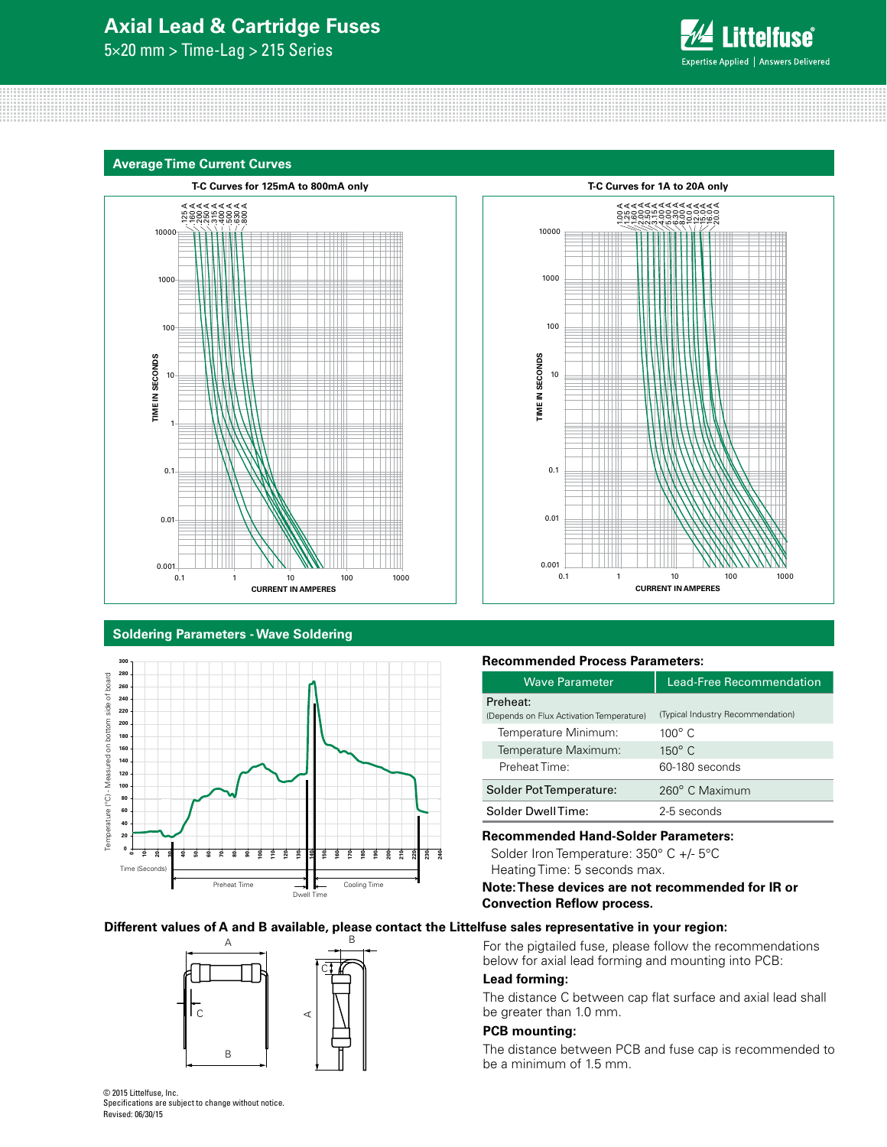# **Axial Lead & Cartridge Fuses**

5×20 mm > Time-Lag > 215 Series



### **Average Time Current Curves**





### **Soldering Parameters - Wave Soldering**



# **Recommended Process Parameters:**

| <b>Wave Parameter</b>                    | Lead-Free Recommendation          |  |  |  |  |
|------------------------------------------|-----------------------------------|--|--|--|--|
| Preheat:                                 |                                   |  |  |  |  |
| (Depends on Flux Activation Temperature) | (Typical Industry Recommendation) |  |  |  |  |
| Temperature Minimum:                     | $100^\circ$ C                     |  |  |  |  |
| Temperature Maximum:                     | $150^\circ$ C                     |  |  |  |  |
| Preheat Time:                            | 60-180 seconds                    |  |  |  |  |
| Solder Pot Temperature:                  | 260° C Maximum                    |  |  |  |  |
| Solder DwellTime:                        | 2-5 seconds                       |  |  |  |  |

# **Recommended Hand-Solder Parameters:**

Solder Iron Temperature: 350° C +/- 5°C Heating Time: 5 seconds max.

## **Note: These devices are not recommended for IR or Convection Reflow process.**

### **Different values of A and B available, please contact the Littelfuse sales representative in your region:**



For the pigtailed fuse, please follow the recommendations below for axial lead forming and mounting into PCB:

# **Lead forming:**

The distance C between cap flat surface and axial lead shall be greater than 1.0 mm.

# **PCB mounting:**

The distance between PCB and fuse cap is recommended to be a minimum of 1.5 mm.